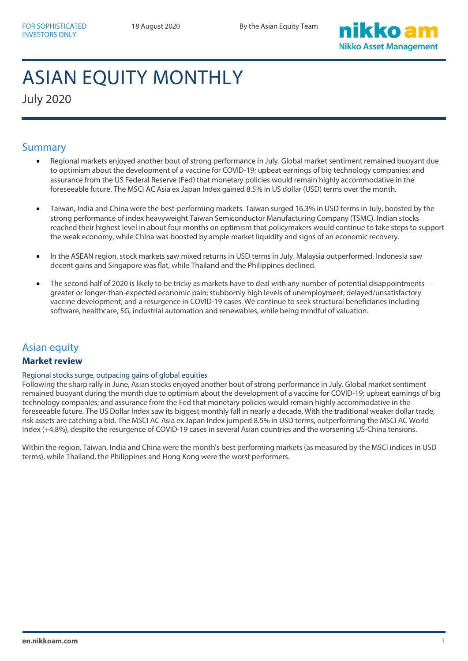

# ASIAN EQUITY MONTHLY

July 2020

# Summary

- Regional markets enjoyed another bout of strong performance in July. Global market sentiment remained buoyant due to optimism about the development of a vaccine for COVID-19; upbeat earnings of big technology companies; and assurance from the US Federal Reserve (Fed) that monetary policies would remain highly accommodative in the foreseeable future. The MSCI AC Asia ex Japan Index gained 8.5% in US dollar (USD) terms over the month.
- Taiwan, India and China were the best-performing markets. Taiwan surged 16.3% in USD terms in July, boosted by the strong performance of index heavyweight Taiwan Semiconductor Manufacturing Company (TSMC). Indian stocks reached their highest level in about four months on optimism that policymakers would continue to take steps to support the weak economy, while China was boosted by ample market liquidity and signs of an economic recovery.
- In the ASEAN region, stock markets saw mixed returns in USD terms in July. Malaysia outperformed, Indonesia saw decent gains and Singapore was flat, while Thailand and the Philippines declined.
- The second half of 2020 is likely to be tricky as markets have to deal with any number of potential disappointmentsgreater or longer-than-expected economic pain; stubbornly high levels of unemployment; delayed/unsatisfactory vaccine development; and a resurgence in COVID-19 cases. We continue to seek structural beneficiaries including software, healthcare, 5G, industrial automation and renewables, while being mindful of valuation.

# Asian equity

# **Market review**

## Regional stocks surge, outpacing gains of global equities

Following the sharp rally in June, Asian stocks enjoyed another bout of strong performance in July. Global market sentiment remained buoyant during the month due to optimism about the development of a vaccine for COVID-19; upbeat earnings of big technology companies; and assurance from the Fed that monetary policies would remain highly accommodative in the foreseeable future. The US Dollar Index saw its biggest monthly fall in nearly a decade. With the traditional weaker dollar trade, risk assets are catching a bid. The MSCI AC Asia ex Japan Index jumped 8.5% in USD terms, outperforming the MSCI AC World Index (+4.8%), despite the resurgence of COVID-19 cases in several Asian countries and the worsening US-China tensions.

Within the region, Taiwan, India and China were the month's best performing markets (as measured by the MSCI indices in USD terms), while Thailand, the Philippines and Hong Kong were the worst performers.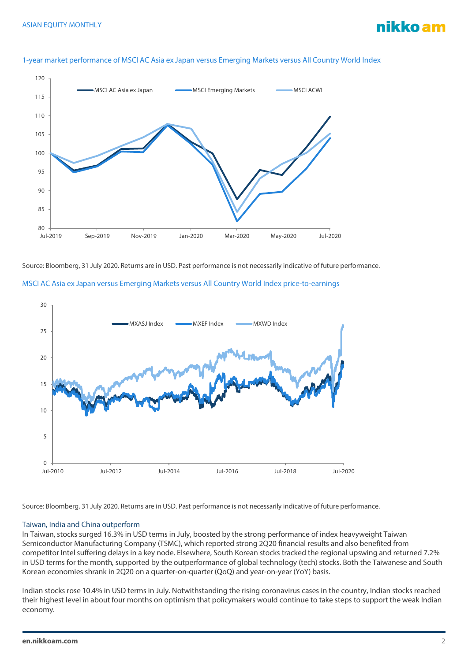

#### 1-year market performance of MSCI AC Asia ex Japan versus Emerging Markets versus All Country World Index

Source: Bloomberg, 31 July 2020. Returns are in USD. Past performance is not necessarily indicative of future performance.





Source: Bloomberg, 31 July 2020. Returns are in USD. Past performance is not necessarily indicative of future performance.

## Taiwan, India and China outperform

In Taiwan, stocks surged 16.3% in USD terms in July, boosted by the strong performance of index heavyweight Taiwan Semiconductor Manufacturing Company (TSMC), which reported strong 2Q20 financial results and also benefited from competitor Intel suffering delays in a key node. Elsewhere, South Korean stocks tracked the regional upswing and returned 7.2% in USD terms for the month, supported by the outperformance of global technology (tech) stocks. Both the Taiwanese and South Korean economies shrank in 2Q20 on a quarter-on-quarter (QoQ) and year-on-year (YoY) basis.

Indian stocks rose 10.4% in USD terms in July. Notwithstanding the rising coronavirus cases in the country, Indian stocks reached their highest level in about four months on optimism that policymakers would continue to take steps to support the weak Indian economy.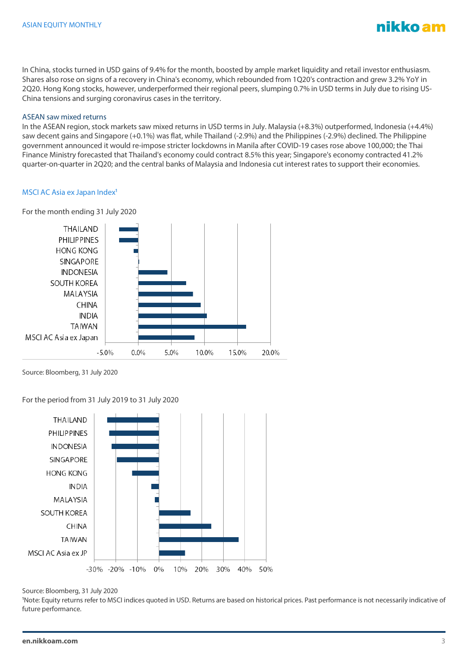

In China, stocks turned in USD gains of 9.4% for the month, boosted by ample market liquidity and retail investor enthusiasm. Shares also rose on signs of a recovery in China's economy, which rebounded from 1Q20's contraction and grew 3.2% YoY in 2Q20. Hong Kong stocks, however, underperformed their regional peers, slumping 0.7% in USD terms in July due to rising US-China tensions and surging coronavirus cases in the territory.

## ASEAN saw mixed returns

In the ASEAN region, stock markets saw mixed returns in USD terms in July. Malaysia (+8.3%) outperformed, Indonesia (+4.4%) saw decent gains and Singapore (+0.1%) was flat, while Thailand (-2.9%) and the Philippines (-2.9%) declined. The Philippine government announced it would re-impose stricter lockdowns in Manila after COVID-19 cases rose above 100,000; the Thai Finance Ministry forecasted that Thailand's economy could contract 8.5% this year; Singapore's economy contracted 41.2% quarter-on-quarter in 2Q20; and the central banks of Malaysia and Indonesia cut interest rates to support their economies.

## MSCI AC Asia ex Japan Index<sup>1</sup>

For the month ending 31 July 2020



Source: Bloomberg, 31 July 2020

For the period from 31 July 2019 to 31 July 2020



Source: Bloomberg, 31 July 2020

<sup>1</sup>Note: Equity returns refer to MSCI indices quoted in USD. Returns are based on historical prices. Past performance is not necessarily indicative of future performance.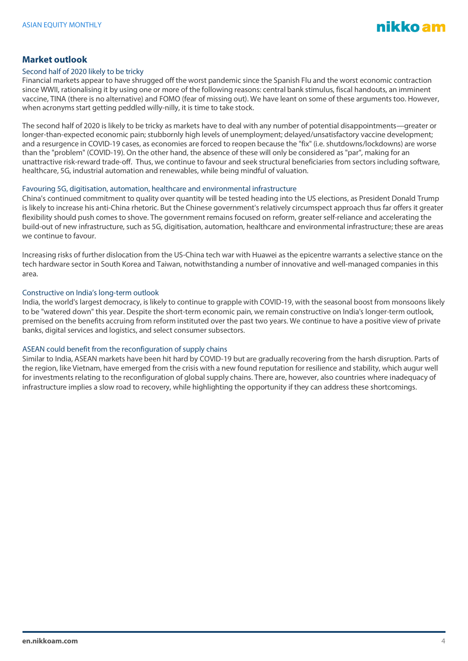

# **Market outlook**

## Second half of 2020 likely to be tricky

Financial markets appear to have shrugged off the worst pandemic since the Spanish Flu and the worst economic contraction since WWII, rationalising it by using one or more of the following reasons: central bank stimulus, fiscal handouts, an imminent vaccine, TINA (there is no alternative) and FOMO (fear of missing out). We have leant on some of these arguments too. However, when acronyms start getting peddled willy-nilly, it is time to take stock.

The second half of 2020 is likely to be tricky as markets have to deal with any number of potential disappointments—greater or longer-than-expected economic pain; stubbornly high levels of unemployment; delayed/unsatisfactory vaccine development; and a resurgence in COVID-19 cases, as economies are forced to reopen because the "fix" (i.e. shutdowns/lockdowns) are worse than the "problem" (COVID-19). On the other hand, the absence of these will only be considered as "par", making for an unattractive risk-reward trade-off. Thus, we continue to favour and seek structural beneficiaries from sectors including software, healthcare, 5G, industrial automation and renewables, while being mindful of valuation.

#### Favouring 5G, digitisation, automation, healthcare and environmental infrastructure

China's continued commitment to quality over quantity will be tested heading into the US elections, as President Donald Trump is likely to increase his anti-China rhetoric. But the Chinese government's relatively circumspect approach thus far offers it greater flexibility should push comes to shove. The government remains focused on reform, greater self-reliance and accelerating the build-out of new infrastructure, such as 5G, digitisation, automation, healthcare and environmental infrastructure; these are areas we continue to favour.

Increasing risks of further dislocation from the US-China tech war with Huawei as the epicentre warrants a selective stance on the tech hardware sector in South Korea and Taiwan, notwithstanding a number of innovative and well-managed companies in this area.

## Constructive on India's long-term outlook

India, the world's largest democracy, is likely to continue to grapple with COVID-19, with the seasonal boost from monsoons likely to be "watered down" this year. Despite the short-term economic pain, we remain constructive on India's longer-term outlook, premised on the benefits accruing from reform instituted over the past two years. We continue to have a positive view of private banks, digital services and logistics, and select consumer subsectors.

## ASEAN could benefit from the reconfiguration of supply chains

Similar to India, ASEAN markets have been hit hard by COVID-19 but are gradually recovering from the harsh disruption. Parts of the region, like Vietnam, have emerged from the crisis with a new found reputation for resilience and stability, which augur well for investments relating to the reconfiguration of global supply chains. There are, however, also countries where inadequacy of infrastructure implies a slow road to recovery, while highlighting the opportunity if they can address these shortcomings.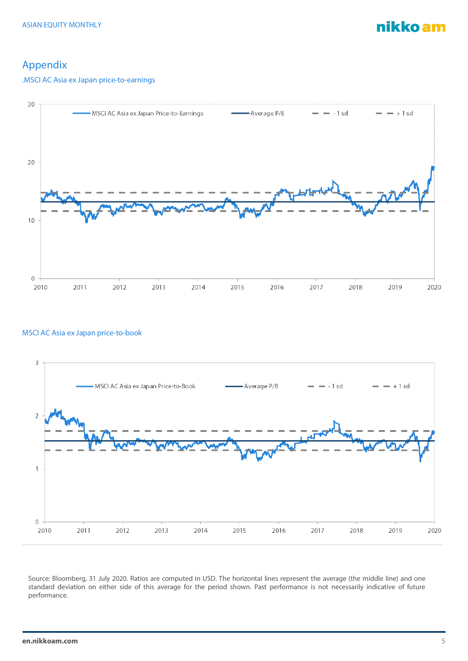nikko am

# Appendix

# .MSCI AC Asia ex Japan price-to-earnings



# MSCI AC Asia ex Japan price-to-book



Source: Bloomberg, 31 July 2020. Ratios are computed in USD. The horizontal lines represent the average (the middle line) and one standard deviation on either side of this average for the period shown. Past performance is not necessarily indicative of future performance.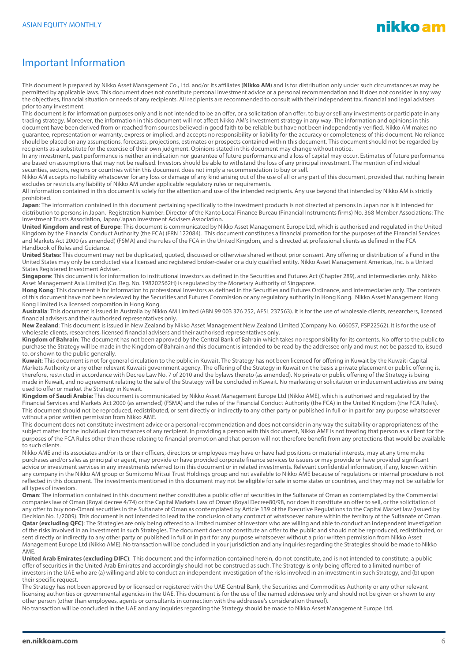

# Important Information

This document is prepared by Nikko Asset Management Co., Ltd. and/or its affiliates (**Nikko AM**) and is for distribution only under such circumstances as may be permitted by applicable laws. This document does not constitute personal investment advice or a personal recommendation and it does not consider in any way the objectives, financial situation or needs of any recipients. All recipients are recommended to consult with their independent tax, financial and legal advisers prior to any investment.

This document is for information purposes only and is not intended to be an offer, or a solicitation of an offer, to buy or sell any investments or participate in any trading strategy. Moreover, the information in this document will not affect Nikko AM's investment strategy in any way. The information and opinions in this document have been derived from or reached from sources believed in good faith to be reliable but have not been independently verified. Nikko AM makes no guarantee, representation or warranty, express or implied, and accepts no responsibility or liability for the accuracy or completeness of this document. No reliance should be placed on any assumptions, forecasts, projections, estimates or prospects contained within this document. This document should not be regarded by recipients as a substitute for the exercise of their own judgment. Opinions stated in this document may change without notice.

In any investment, past performance is neither an indication nor guarantee of future performance and a loss of capital may occur. Estimates of future performance are based on assumptions that may not be realised. Investors should be able to withstand the loss of any principal investment. The mention of individual securities, sectors, regions or countries within this document does not imply a recommendation to buy or sell.

Nikko AM accepts no liability whatsoever for any loss or damage of any kind arising out of the use of all or any part of this document, provided that nothing herein excludes or restricts any liability of Nikko AM under applicable regulatory rules or requirements.

All information contained in this document is solely for the attention and use of the intended recipients. Any use beyond that intended by Nikko AM is strictly prohibited.

**Japan**: The information contained in this document pertaining specifically to the investment products is not directed at persons in Japan nor is it intended for distribution to persons in Japan. Registration Number: Director of the Kanto Local Finance Bureau (Financial Instruments firms) No. 368 Member Associations: The Investment Trusts Association, Japan/Japan Investment Advisers Association.

**United Kingdom and rest of Europe**: This document is communicated by Nikko Asset Management Europe Ltd, which is authorised and regulated in the United Kingdom by the Financial Conduct Authority (the FCA) (FRN 122084). This document constitutes a financial promotion for the purposes of the Financial Services and Markets Act 2000 (as amended) (FSMA) and the rules of the FCA in the United Kingdom, and is directed at professional clients as defined in the FCA Handbook of Rules and Guidance.

**United States**: This document may not be duplicated, quoted, discussed or otherwise shared without prior consent. Any offering or distribution of a Fund in the United States may only be conducted via a licensed and registered broker-dealer or a duly qualified entity. Nikko Asset Management Americas, Inc. is a United States Registered Investment Adviser.

**Singapore**: This document is for information to institutional investors as defined in the Securities and Futures Act (Chapter 289), and intermediaries only. Nikko Asset Management Asia Limited (Co. Reg. No. 198202562H) is regulated by the Monetary Authority of Singapore.

**Hong Kong**: This document is for information to professional investors as defined in the Securities and Futures Ordinance, and intermediaries only. The contents of this document have not been reviewed by the Securities and Futures Commission or any regulatory authority in Hong Kong. Nikko Asset Management Hong Kong Limited is a licensed corporation in Hong Kong.

**Australia**: This document is issued in Australia by Nikko AM Limited (ABN 99 003 376 252, AFSL 237563). It is for the use of wholesale clients, researchers, licensed financial advisers and their authorised representatives only.

**New Zealand**: This document is issued in New Zealand by Nikko Asset Management New Zealand Limited (Company No. 606057, FSP22562). It is for the use of wholesale clients, researchers, licensed financial advisers and their authorised representatives only.

**Kingdom of Bahrain**: The document has not been approved by the Central Bank of Bahrain which takes no responsibility for its contents. No offer to the public to purchase the Strategy will be made in the Kingdom of Bahrain and this document is intended to be read by the addressee only and must not be passed to, issued to, or shown to the public generally.

**Kuwait**: This document is not for general circulation to the public in Kuwait. The Strategy has not been licensed for offering in Kuwait by the Kuwaiti Capital Markets Authority or any other relevant Kuwaiti government agency. The offering of the Strategy in Kuwait on the basis a private placement or public offering is, therefore, restricted in accordance with Decree Law No. 7 of 2010 and the bylaws thereto (as amended). No private or public offering of the Strategy is being made in Kuwait, and no agreement relating to the sale of the Strategy will be concluded in Kuwait. No marketing or solicitation or inducement activities are being used to offer or market the Strategy in Kuwait.

**Kingdom of Saudi Arabia**: This document is communicated by Nikko Asset Management Europe Ltd (Nikko AME), which is authorised and regulated by the Financial Services and Markets Act 2000 (as amended) (FSMA) and the rules of the Financial Conduct Authority (the FCA) in the United Kingdom (the FCA Rules). This document should not be reproduced, redistributed, or sent directly or indirectly to any other party or published in full or in part for any purpose whatsoever without a prior written permission from Nikko AME.

This document does not constitute investment advice or a personal recommendation and does not consider in any way the suitability or appropriateness of the subject matter for the individual circumstances of any recipient. In providing a person with this document, Nikko AME is not treating that person as a client for the purposes of the FCA Rules other than those relating to financial promotion and that person will not therefore benefit from any protections that would be available to such clients.

Nikko AME and its associates and/or its or their officers, directors or employees may have or have had positions or material interests, may at any time make purchases and/or sales as principal or agent, may provide or have provided corporate finance services to issuers or may provide or have provided significant advice or investment services in any investments referred to in this document or in related investments. Relevant confidential information, if any, known within any company in the Nikko AM group or Sumitomo Mitsui Trust Holdings group and not available to Nikko AME because of regulations or internal procedure is not reflected in this document. The investments mentioned in this document may not be eligible for sale in some states or countries, and they may not be suitable for all types of investors.

**Oman**: The information contained in this document nether constitutes a public offer of securities in the Sultanate of Oman as contemplated by the Commercial companies law of Oman (Royal decree 4/74) or the Capital Markets Law of Oman (Royal Decree80/98, nor does it constitute an offer to sell, or the solicitation of any offer to buy non-Omani securities in the Sultanate of Oman as contemplated by Article 139 of the Executive Regulations to the Capital Market law (issued by Decision No. 1/2009). This document is not intended to lead to the conclusion of any contract of whatsoever nature within the territory of the Sultanate of Oman. Qatar (excluding QFC): The Strategies are only being offered to a limited number of investors who are willing and able to conduct an independent investigation of the risks involved in an investment in such Strategies. The document does not constitute an offer to the public and should not be reproduced, redistributed, or sent directly or indirectly to any other party or published in full or in part for any purpose whatsoever without a prior written permission from Nikko Asset Management Europe Ltd (Nikko AME). No transaction will be concluded in your jurisdiction and any inquiries regarding the Strategies should be made to Nikko AME.

United Arab Emirates (excluding DIFC): This document and the information contained herein, do not constitute, and is not intended to constitute, a public offer of securities in the United Arab Emirates and accordingly should not be construed as such. The Strategy is only being offered to a limited number of investors in the UAE who are (a) willing and able to conduct an independent investigation of the risks involved in an investment in such Strategy, and (b) upon their specific request.

The Strategy has not been approved by or licensed or registered with the UAE Central Bank, the Securities and Commodities Authority or any other relevant licensing authorities or governmental agencies in the UAE. This document is for the use of the named addressee only and should not be given or shown to any other person (other than employees, agents or consultants in connection with the addressee's consideration thereof).

No transaction will be concluded in the UAE and any inquiries regarding the Strategy should be made to Nikko Asset Management Europe Ltd.